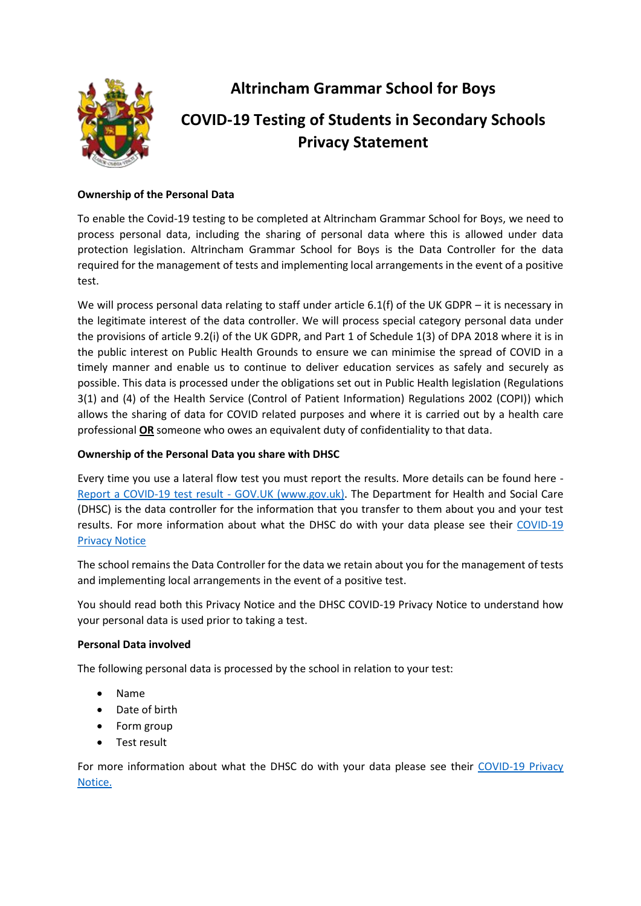

**Altrincham Grammar School for Boys**

# **COVID-19 Testing of Students in Secondary Schools Privacy Statement**

## **Ownership of the Personal Data**

To enable the Covid-19 testing to be completed at Altrincham Grammar School for Boys, we need to process personal data, including the sharing of personal data where this is allowed under data protection legislation. Altrincham Grammar School for Boys is the Data Controller for the data required for the management of tests and implementing local arrangements in the event of a positive test.

We will process personal data relating to staff under article 6.1(f) of the UK GDPR – it is necessary in the legitimate interest of the data controller. We will process special category personal data under the provisions of article 9.2(i) of the UK GDPR, and Part 1 of Schedule 1(3) of DPA 2018 where it is in the public interest on Public Health Grounds to ensure we can minimise the spread of COVID in a timely manner and enable us to continue to deliver education services as safely and securely as possible. This data is processed under the obligations set out in Public Health legislation (Regulations 3(1) and (4) of the Health Service (Control of Patient Information) Regulations 2002 (COPI)) which allows the sharing of data for COVID related purposes and where it is carried out by a health care professional **OR** someone who owes an equivalent duty of confidentiality to that data.

### **Ownership of the Personal Data you share with DHSC**

Every time you use a lateral flow test you must report the results. More details can be found here - [Report a COVID-19 test result -](https://www.gov.uk/report-covid19-result) GOV.UK (www.gov.uk). The Department for Health and Social Care (DHSC) is the data controller for the information that you transfer to them about you and your test results. For more information about what the DHSC do with your data please see their [COVID-19](https://www.gov.uk/government/publications/coronavirus-covid-19-testing-privacy-information)  [Privacy Notice](https://www.gov.uk/government/publications/coronavirus-covid-19-testing-privacy-information)

The school remains the Data Controller for the data we retain about you for the management of tests and implementing local arrangements in the event of a positive test.

You should read both this Privacy Notice and the DHSC COVID-19 Privacy Notice to understand how your personal data is used prior to taking a test.

#### **Personal Data involved**

The following personal data is processed by the school in relation to your test:

- Name
- Date of birth
- Form group
- Test result

For more information about what the DHSC do with your data please see their [COVID-19 Privacy](https://www.gov.uk/government/publications/coronavirus-covid-19-testing-privacy-information)  [Notice.](https://www.gov.uk/government/publications/coronavirus-covid-19-testing-privacy-information)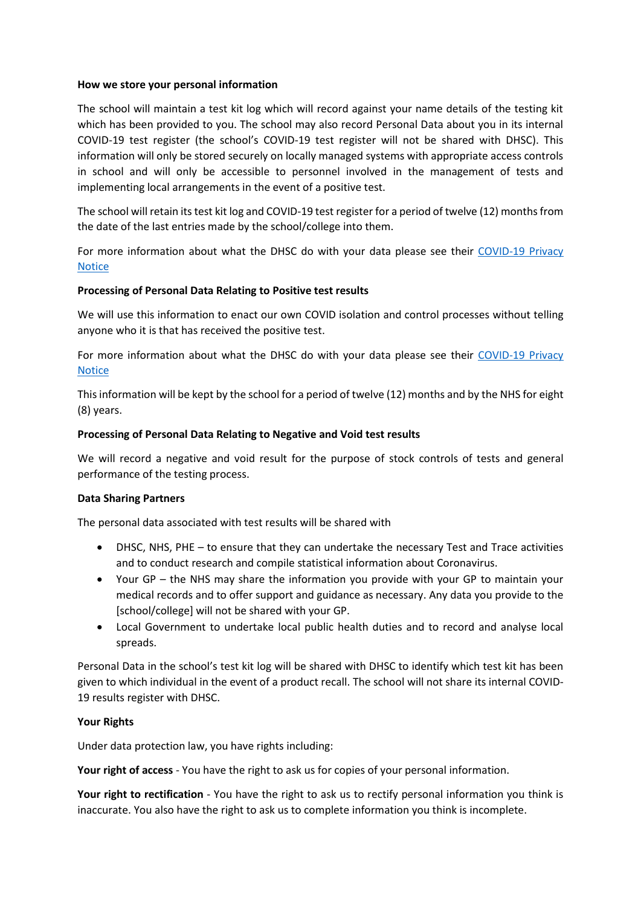#### **How we store your personal information**

The school will maintain a test kit log which will record against your name details of the testing kit which has been provided to you. The school may also record Personal Data about you in its internal COVID-19 test register (the school's COVID-19 test register will not be shared with DHSC). This information will only be stored securely on locally managed systems with appropriate access controls in school and will only be accessible to personnel involved in the management of tests and implementing local arrangements in the event of a positive test.

The school will retain its test kit log and COVID-19 test register for a period of twelve (12) months from the date of the last entries made by the school/college into them.

For more information about what the DHSC do with your data please see their [COVID-19 Privacy](https://www.gov.uk/government/publications/coronavirus-covid-19-testing-privacy-information)  [Notice](https://www.gov.uk/government/publications/coronavirus-covid-19-testing-privacy-information)

#### **Processing of Personal Data Relating to Positive test results**

We will use this information to enact our own COVID isolation and control processes without telling anyone who it is that has received the positive test.

For more information about what the DHSC do with your data please see their [COVID-19 Privacy](https://www.gov.uk/government/publications/coronavirus-covid-19-testing-privacy-information)  [Notice](https://www.gov.uk/government/publications/coronavirus-covid-19-testing-privacy-information)

This information will be kept by the school for a period of twelve (12) months and by the NHS for eight (8) years.

#### **Processing of Personal Data Relating to Negative and Void test results**

We will record a negative and void result for the purpose of stock controls of tests and general performance of the testing process.

#### **Data Sharing Partners**

The personal data associated with test results will be shared with

- DHSC, NHS, PHE to ensure that they can undertake the necessary Test and Trace activities and to conduct research and compile statistical information about Coronavirus.
- Your GP the NHS may share the information you provide with your GP to maintain your medical records and to offer support and guidance as necessary. Any data you provide to the [school/college] will not be shared with your GP.
- Local Government to undertake local public health duties and to record and analyse local spreads.

Personal Data in the school's test kit log will be shared with DHSC to identify which test kit has been given to which individual in the event of a product recall. The school will not share its internal COVID-19 results register with DHSC.

#### **Your Rights**

Under data protection law, you have rights including:

**Your right of access** - You have the right to ask us for copies of your personal information.

**Your right to rectification** - You have the right to ask us to rectify personal information you think is inaccurate. You also have the right to ask us to complete information you think is incomplete.